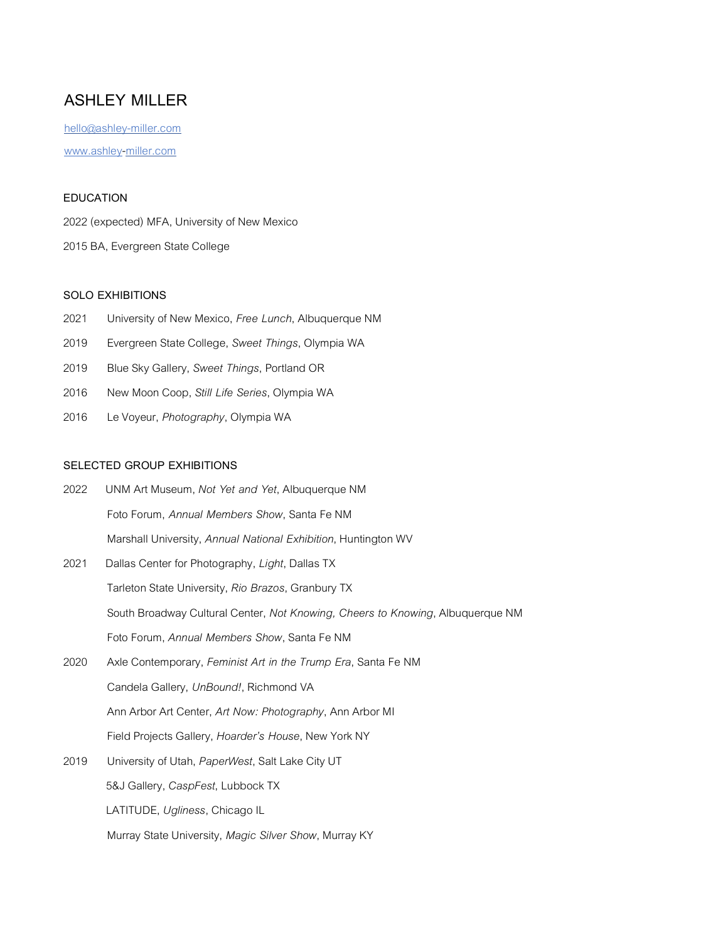# **ASHLEY MILLER**

hello@ashley-miller.com

[www.ashley](http://www.ashley/)[-miller.com](https://www.ashley-miller.com/)

## **EDUCATION**

2022 (expected) MFA, University of New Mexico 2015 BA, Evergreen State College

### **SOLO EXHIBITIONS**

- 2021 University of New Mexico, *Free Lunch*, Albuquerque NM
- 2019 Evergreen State College, *Sweet Things*, Olympia WA
- 2019 Blue Sky Gallery, *Sweet Things*, Portland OR
- 2016 New Moon Coop, *Still Life Series*, Olympia WA
- 2016 Le Voyeur, *Photography*, Olympia WA

### **SELECTED GROUP EXHIBITIONS**

- 2022 UNM Art Museum, *Not Yet and Yet*, Albuquerque NM Foto Forum, *Annual Members Show*, Santa Fe NM Marshall University, *Annual National Exhibition*, Huntington WV
- 2021 Dallas Center for Photography, *Light*, Dallas TX Tarleton State University, *Rio Brazos*, Granbury TX South Broadway Cultural Center, *Not Knowing, Cheers to Knowing*, Albuquerque NM Foto Forum, *Annual Members Show*, Santa Fe NM
- 2020 Axle Contemporary, *Feminist Art in the Trump Era*, Santa Fe NM Candela Gallery, *UnBound!*, Richmond VA Ann Arbor Art Center, *Art Now: Photography*, Ann Arbor MI Field Projects Gallery, *Hoarder's House*, New York NY
- 2019 University of Utah, *PaperWest*, Salt Lake City UT 5&J Gallery, *CaspFest*, Lubbock TX LATITUDE, *Ugliness*, Chicago IL Murray State University, *Magic Silver Show*, Murray KY